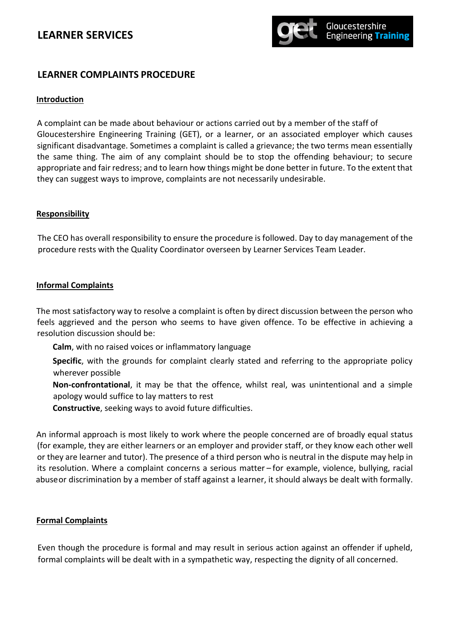## **LEARNER SERVICES**



### **LEARNER COMPLAINTS PROCEDURE**

#### **Introduction**

A complaint can be made about behaviour or actions carried out by a member of the staff of Gloucestershire Engineering Training (GET), or a learner, or an associated employer which causes significant disadvantage. Sometimes a complaint is called a grievance; the two terms mean essentially the same thing. The aim of any complaint should be to stop the offending behaviour; to secure appropriate and fair redress; and to learn how things might be done better in future. To the extent that they can suggest ways to improve, complaints are not necessarily undesirable.

#### **Responsibility**

The CEO has overall responsibility to ensure the procedure is followed. Day to day management of the procedure rests with the Quality Coordinator overseen by Learner Services Team Leader.

### **Informal Complaints**

resolution discussion should be: feels aggrieved and the person who seems to have given offence. To be effective in achieving a The most satisfactory way to resolve a complaint is often by direct discussion between the person who

- **Calm**, with no raised voices or inflammatory language
- wherever possible **Specific**, with the grounds for complaint clearly stated and referring to the appropriate policy
- apology would suffice to lay matters to rest **Non-confrontational**, it may be that the offence, whilst real, was unintentional and a simple
- **Constructive**, seeking ways to avoid future difficulties.

abuseor discrimination by a member of staff against a learner, it should always be dealt with formally. its resolution. Where a complaint concerns a serious matter – for example, violence, bullying, racial or they are learner and tutor). The presence of a third person who is neutral in the dispute may help in (for example, they are either learners or an employer and provider staff, or they know each other well An informal approach is most likely to work where the people concerned are of broadly equal status

#### **Formal Complaints**

Even though the procedure is formal and may result in serious action against an offender if upheld, formal complaints will be dealt with in a sympathetic way, respecting the dignity of all concerned.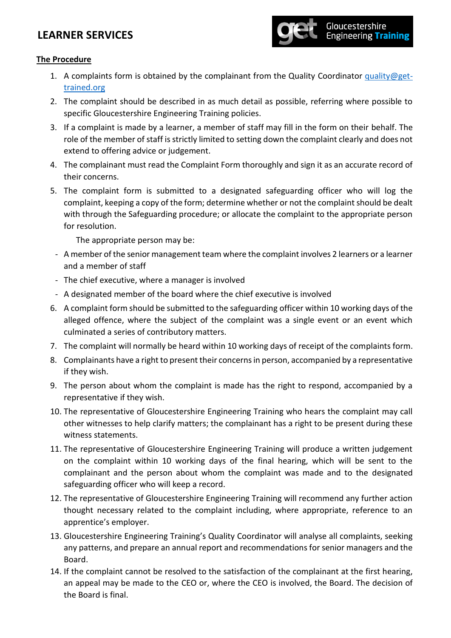## **LEARNER SERVICES**



### **The Procedure**

- 1. A complaints form is obtained by the complainant from the Quality Coordinator [quality@get](mailto:quality@get-trained.org)[trained.org](mailto:quality@get-trained.org)
- 2. The complaint should be described in as much detail as possible, referring where possible to specific Gloucestershire Engineering Training policies.
- 3. If a complaint is made by a learner, a member of staff may fill in the form on their behalf. The role of the member of staff is strictly limited to setting down the complaint clearly and does not extend to offering advice or judgement.
- 4. The complainant must read the Complaint Form thoroughly and sign it as an accurate record of their concerns.
- 5. The complaint form is submitted to a designated safeguarding officer who will log the complaint, keeping a copy of the form; determine whether or not the complaint should be dealt with through the Safeguarding procedure; or allocate the complaint to the appropriate person for resolution.

The appropriate person may be:

- A member of the senior management team where the complaint involves 2 learners or a learner and a member of staff
- The chief executive, where a manager is involved
- A designated member of the board where the chief executive is involved
- 6. A complaint form should be submitted to the safeguarding officer within 10 working days of the alleged offence, where the subject of the complaint was a single event or an event which culminated a series of contributory matters.
- 7. The complaint will normally be heard within 10 working days of receipt of the complaints form.
- 8. Complainants have a right to present their concerns in person, accompanied by a representative if they wish.
- 9. The person about whom the complaint is made has the right to respond, accompanied by a representative if they wish.
- 10. The representative of Gloucestershire Engineering Training who hears the complaint may call other witnesses to help clarify matters; the complainant has a right to be present during these witness statements.
- 11. The representative of Gloucestershire Engineering Training will produce a written judgement on the complaint within 10 working days of the final hearing, which will be sent to the complainant and the person about whom the complaint was made and to the designated safeguarding officer who will keep a record.
- 12. The representative of Gloucestershire Engineering Training will recommend any further action thought necessary related to the complaint including, where appropriate, reference to an apprentice's employer.
- 13. Gloucestershire Engineering Training's Quality Coordinator will analyse all complaints, seeking any patterns, and prepare an annual report and recommendations for senior managers and the Board.
- 14. If the complaint cannot be resolved to the satisfaction of the complainant at the first hearing, an appeal may be made to the CEO or, where the CEO is involved, the Board. The decision of the Board is final.